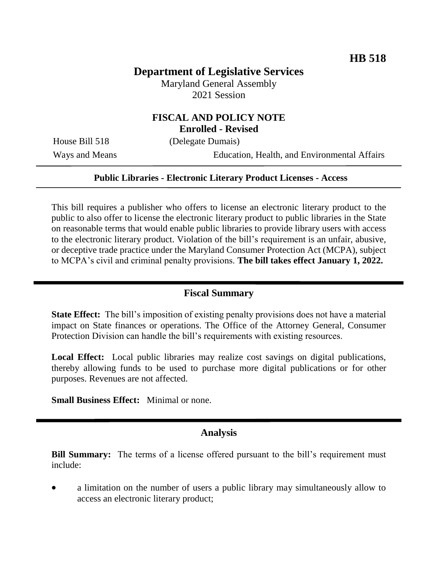# **Department of Legislative Services**

Maryland General Assembly 2021 Session

## **FISCAL AND POLICY NOTE Enrolled - Revised**

House Bill 518 (Delegate Dumais)

Ways and Means Education, Health, and Environmental Affairs

#### **Public Libraries - Electronic Literary Product Licenses - Access**

This bill requires a publisher who offers to license an electronic literary product to the public to also offer to license the electronic literary product to public libraries in the State on reasonable terms that would enable public libraries to provide library users with access to the electronic literary product. Violation of the bill's requirement is an unfair, abusive, or deceptive trade practice under the Maryland Consumer Protection Act (MCPA), subject to MCPA's civil and criminal penalty provisions. **The bill takes effect January 1, 2022.**

## **Fiscal Summary**

**State Effect:** The bill's imposition of existing penalty provisions does not have a material impact on State finances or operations. The Office of the Attorney General, Consumer Protection Division can handle the bill's requirements with existing resources.

Local Effect: Local public libraries may realize cost savings on digital publications, thereby allowing funds to be used to purchase more digital publications or for other purposes. Revenues are not affected.

**Small Business Effect:** Minimal or none.

#### **Analysis**

**Bill Summary:** The terms of a license offered pursuant to the bill's requirement must include:

 a limitation on the number of users a public library may simultaneously allow to access an electronic literary product;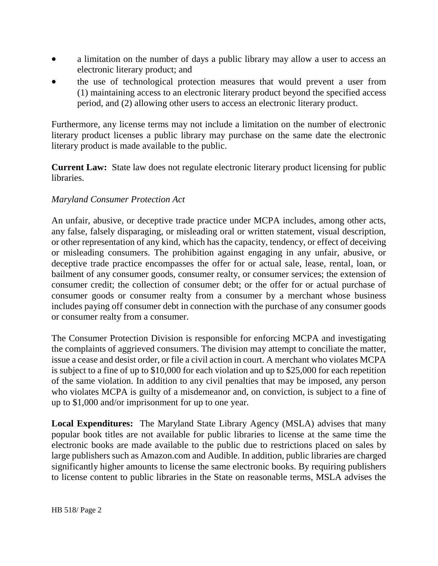- a limitation on the number of days a public library may allow a user to access an electronic literary product; and
- the use of technological protection measures that would prevent a user from (1) maintaining access to an electronic literary product beyond the specified access period, and (2) allowing other users to access an electronic literary product.

Furthermore, any license terms may not include a limitation on the number of electronic literary product licenses a public library may purchase on the same date the electronic literary product is made available to the public.

**Current Law:** State law does not regulate electronic literary product licensing for public libraries.

## *Maryland Consumer Protection Act*

An unfair, abusive, or deceptive trade practice under MCPA includes, among other acts, any false, falsely disparaging, or misleading oral or written statement, visual description, or other representation of any kind, which has the capacity, tendency, or effect of deceiving or misleading consumers. The prohibition against engaging in any unfair, abusive, or deceptive trade practice encompasses the offer for or actual sale, lease, rental, loan, or bailment of any consumer goods, consumer realty, or consumer services; the extension of consumer credit; the collection of consumer debt; or the offer for or actual purchase of consumer goods or consumer realty from a consumer by a merchant whose business includes paying off consumer debt in connection with the purchase of any consumer goods or consumer realty from a consumer.

The Consumer Protection Division is responsible for enforcing MCPA and investigating the complaints of aggrieved consumers. The division may attempt to conciliate the matter, issue a cease and desist order, or file a civil action in court. A merchant who violates MCPA is subject to a fine of up to \$10,000 for each violation and up to \$25,000 for each repetition of the same violation. In addition to any civil penalties that may be imposed, any person who violates MCPA is guilty of a misdemeanor and, on conviction, is subject to a fine of up to \$1,000 and/or imprisonment for up to one year.

**Local Expenditures:** The Maryland State Library Agency (MSLA) advises that many popular book titles are not available for public libraries to license at the same time the electronic books are made available to the public due to restrictions placed on sales by large publishers such as Amazon.com and Audible. In addition, public libraries are charged significantly higher amounts to license the same electronic books. By requiring publishers to license content to public libraries in the State on reasonable terms, MSLA advises the